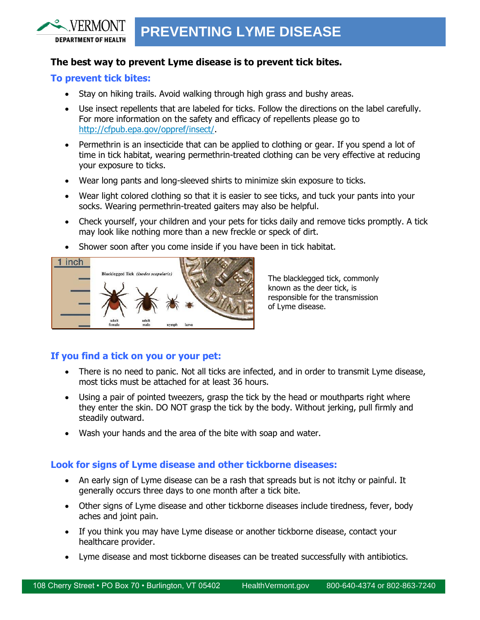## **The best way to prevent Lyme disease is to prevent tick bites.**

### **To prevent tick bites:**

**DEPARTMENT OF HEALTH** 

- Stay on hiking trails. Avoid walking through high grass and bushy areas.
- Use insect repellents that are labeled for ticks. Follow the directions on the label carefully. For more information on the safety and efficacy of repellents please go to [http://cfpub.epa.gov/oppref/insect/.](http://cfpub.epa.gov/oppref/insect/)
- Permethrin is an insecticide that can be applied to clothing or gear. If you spend a lot of time in tick habitat, wearing permethrin-treated clothing can be very effective at reducing your exposure to ticks.
- Wear long pants and long-sleeved shirts to minimize skin exposure to ticks.
- Wear light colored clothing so that it is easier to see ticks, and tuck your pants into your socks. Wearing permethrin-treated gaiters may also be helpful.
- Check yourself, your children and your pets for ticks daily and remove ticks promptly. A tick may look like nothing more than a new freckle or speck of dirt.
- Shower soon after you come inside if you have been in tick habitat.



The blacklegged tick, commonly known as the deer tick, is responsible for the transmission of Lyme disease.

## **If you find a tick on you or your pet:**

- There is no need to panic. Not all ticks are infected, and in order to transmit Lyme disease, most ticks must be attached for at least 36 hours.
- Using a pair of pointed tweezers, grasp the tick by the head or mouthparts right where they enter the skin. DO NOT grasp the tick by the body. Without jerking, pull firmly and steadily outward.
- Wash your hands and the area of the bite with soap and water.

#### **Look for signs of Lyme disease and other tickborne diseases:**

- An early sign of Lyme disease can be a rash that spreads but is not itchy or painful. It generally occurs three days to one month after a tick bite.
- Other signs of Lyme disease and other tickborne diseases include tiredness, fever, body aches and joint pain.
- If you think you may have Lyme disease or another tickborne disease, contact your healthcare provider.
- Lyme disease and most tickborne diseases can be treated successfully with antibiotics.